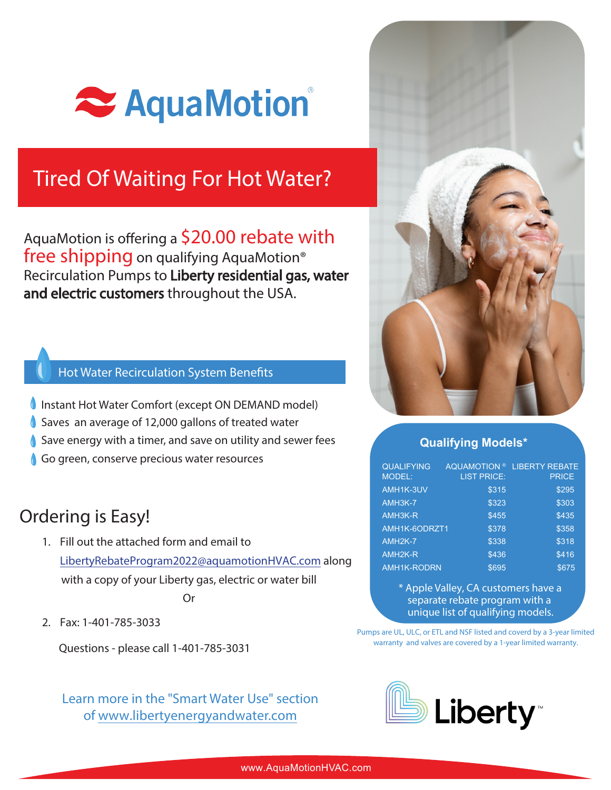

# Tired Of Waiting For Hot Water?

AquaMotion is offering a \$20.00 rebate with free shipping on qualifying AquaMotion<sup>®</sup> Recirculation Pumps to Liberty residential gas, water and electric customers throughout the USA.

### Hot Water Recirculation System Benefits

- Instant Hot Water Comfort (except ON DEMAND model)
- Saves an average of 12,000 gallons of treated water
- Save energy with a timer, and save on utility and sewer fees
- Go green, conserve precious water resources

### Ordering is Easy!

- 1. Fill out the attached form and email to LibertyRebateProgram2022@aquamotionHVAC.com along with a copy of your Liberty gas, electric or water bill Or
- 2. Fax: 1-401-785-3033

Questions - please call 1-401-785-3031

Learn more in the "Smart Water Use" section of www.libertyenergyandwater.com



#### **Qualifying Models\***

| <b>QUALIFYING</b><br><b>MODEL:</b> | <b>LIST PRICE:</b> | AQUAMOTION <sup>®</sup> LIBERTY REBATE<br><b>PRICE</b> |
|------------------------------------|--------------------|--------------------------------------------------------|
| AMH1K-3UV                          | \$315              | \$295                                                  |
| AMH3K-7                            | \$323              | \$303                                                  |
| AMH3K-R                            | \$455              | \$435                                                  |
| AMH1K-6ODRZT1                      | \$378              | \$358                                                  |
| AMH <sub>2K-7</sub>                | \$338              | \$318                                                  |
| AMH <sub>2K-R</sub>                | \$436              | \$416                                                  |
| <b>AMH1K-RODRN</b>                 | \$695              | \$675                                                  |

\* Apple Valley, CA customers have a separate rebate program with a unique list of qualifying models.

Pumps are UL, ULC, or ETL and NSF listed and coverd by a 3-year limited warranty and valves are covered by a 1-year limited warranty.